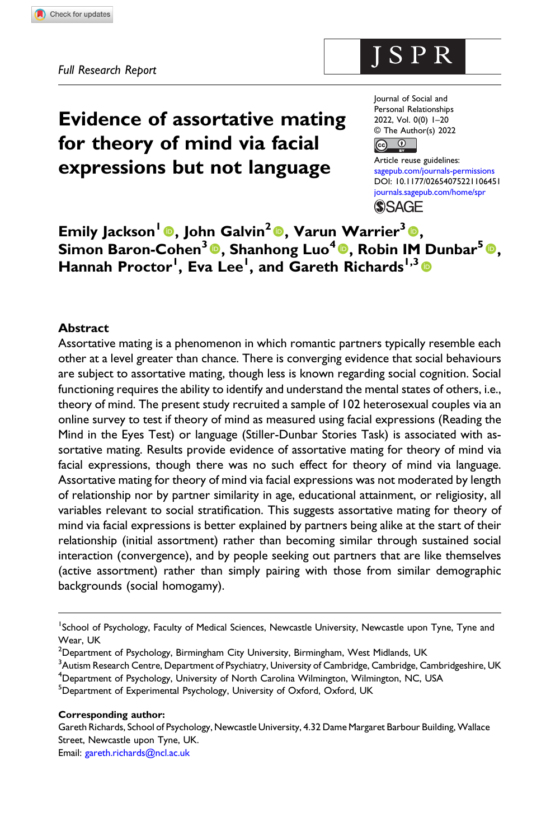# Evidence of assortative mating for theory of mind via facial expressions but not language

Journal of Social and Personal Relationships 2022, Vol. 0(0) 1–20 © The Author(s) 2022  $\overline{a}$ രു

ISPR

Article reuse guidelines: [sagepub.com/journals-permissions](https://uk.sagepub.com/en-gb/journals-permissions) DOI: [10.1177/02654075221106451](https://doi.org/10.1177/02654075221106451) [journals.sagepub.com/home/spr](https://journals.sagepub.com/home/spr) **SSAGE** 

Emily Jackson<sup>1</sup> ©, John Galvin<sup>2</sup> ©, Varun Warrier<sup>3</sup> ©, Simon Baron-Cohen<sup>3</sup>®, Shanhong Luo<sup>4</sup>®, Robin IM Dunbar<sup>5</sup>®, Hannah Proctor<sup>1</sup>, Eva Lee<sup>1</sup>, and Gareth Richards<sup>1,3</sup> ®

## Abstract

Assortative mating is a phenomenon in which romantic partners typically resemble each other at a level greater than chance. There is converging evidence that social behaviours are subject to assortative mating, though less is known regarding social cognition. Social functioning requires the ability to identify and understand the mental states of others, i.e., theory of mind. The present study recruited a sample of 102 heterosexual couples via an online survey to test if theory of mind as measured using facial expressions (Reading the Mind in the Eyes Test) or language (Stiller-Dunbar Stories Task) is associated with assortative mating. Results provide evidence of assortative mating for theory of mind via facial expressions, though there was no such effect for theory of mind via language. Assortative mating for theory of mind via facial expressions was not moderated by length of relationship nor by partner similarity in age, educational attainment, or religiosity, all variables relevant to social stratification. This suggests assortative mating for theory of mind via facial expressions is better explained by partners being alike at the start of their relationship (initial assortment) rather than becoming similar through sustained social interaction (convergence), and by people seeking out partners that are like themselves (active assortment) rather than simply pairing with those from similar demographic backgrounds (social homogamy).

 $^3$ Autism Research Centre, Department of Psychiatry, University of Cambridge, Cambridge, Cambridgeshire, UK <sup>4</sup>Department of Psychology, University of North Carolina Wilmington, Wilmington, NC, USA

<sup>5</sup>Department of Experimental Psychology, University of Oxford, Oxford, UK

#### Corresponding author:

Gareth Richards, School of Psychology, Newcastle University, 4.32 Dame Margaret Barbour Building, Wallace Street, Newcastle upon Tyne, UK.

Email: [gareth.richards@ncl.ac.uk](mailto:gareth.richards@ncl.ac.uk)

<sup>&</sup>lt;sup>1</sup>School of Psychology, Faculty of Medical Sciences, Newcastle University, Newcastle upon Tyne, Tyne and Wear, UK

 $^2$ Department of Psychology, Birmingham City University, Birmingham, West Midlands, UK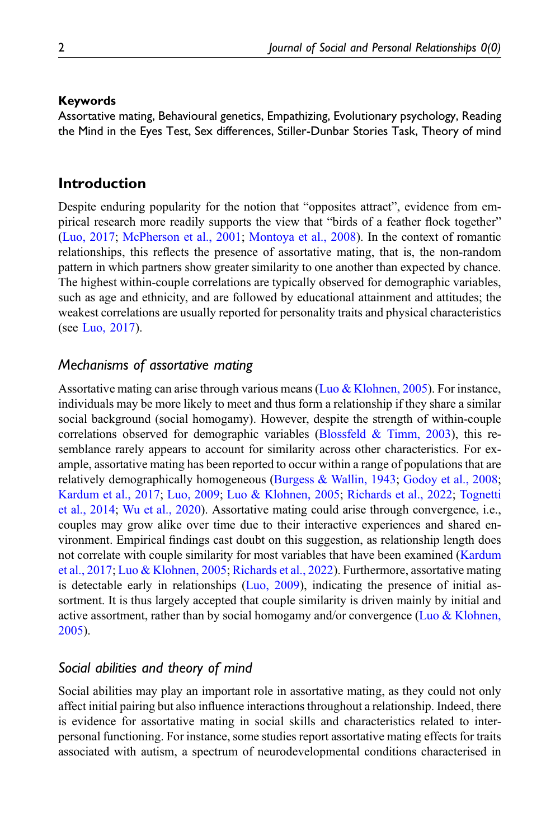## Keywords

Assortative mating, Behavioural genetics, Empathizing, Evolutionary psychology, Reading the Mind in the Eyes Test, Sex differences, Stiller-Dunbar Stories Task, Theory of mind

## Introduction

Despite enduring popularity for the notion that "opposites attract", evidence from empirical research more readily supports the view that "birds of a feather flock together" [\(Luo, 2017;](#page-17-0) [McPherson et al., 2001;](#page-17-1) [Montoya et al., 2008\)](#page-18-0). In the context of romantic relationships, this reflects the presence of assortative mating, that is, the non-random pattern in which partners show greater similarity to one another than expected by chance. The highest within-couple correlations are typically observed for demographic variables, such as age and ethnicity, and are followed by educational attainment and attitudes; the weakest correlations are usually reported for personality traits and physical characteristics (see [Luo, 2017\)](#page-17-0).

## Mechanisms of assortative mating

Assortative mating can arise through various means [\(Luo & Klohnen, 2005](#page-17-2)). For instance, individuals may be more likely to meet and thus form a relationship if they share a similar social background (social homogamy). However, despite the strength of within-couple correlations observed for demographic variables (Blossfeld  $& Timm, 2003$ ), this resemblance rarely appears to account for similarity across other characteristics. For example, assortative mating has been reported to occur within a range of populations that are relatively demographically homogeneous ([Burgess & Wallin, 1943](#page-15-1); [Godoy et al., 2008;](#page-16-0) [Kardum et al., 2017;](#page-17-3) [Luo, 2009;](#page-17-4) [Luo & Klohnen, 2005;](#page-17-2) [Richards et al., 2022;](#page-18-1) [Tognetti](#page-19-0) [et al., 2014](#page-19-0); [Wu et al., 2020\)](#page-19-1). Assortative mating could arise through convergence, i.e., couples may grow alike over time due to their interactive experiences and shared environment. Empirical findings cast doubt on this suggestion, as relationship length does not correlate with couple similarity for most variables that have been examined ([Kardum](#page-17-3) [et al., 2017;](#page-17-3) [Luo & Klohnen, 2005](#page-17-2); [Richards et al., 2022\)](#page-18-1). Furthermore, assortative mating is detectable early in relationships [\(Luo, 2009\)](#page-17-4), indicating the presence of initial assortment. It is thus largely accepted that couple similarity is driven mainly by initial and active assortment, rather than by social homogamy and/or convergence [\(Luo & Klohnen,](#page-17-2) [2005\)](#page-17-2).

## Social abilities and theory of mind

Social abilities may play an important role in assortative mating, as they could not only affect initial pairing but also influence interactions throughout a relationship. Indeed, there is evidence for assortative mating in social skills and characteristics related to interpersonal functioning. For instance, some studies report assortative mating effects for traits associated with autism, a spectrum of neurodevelopmental conditions characterised in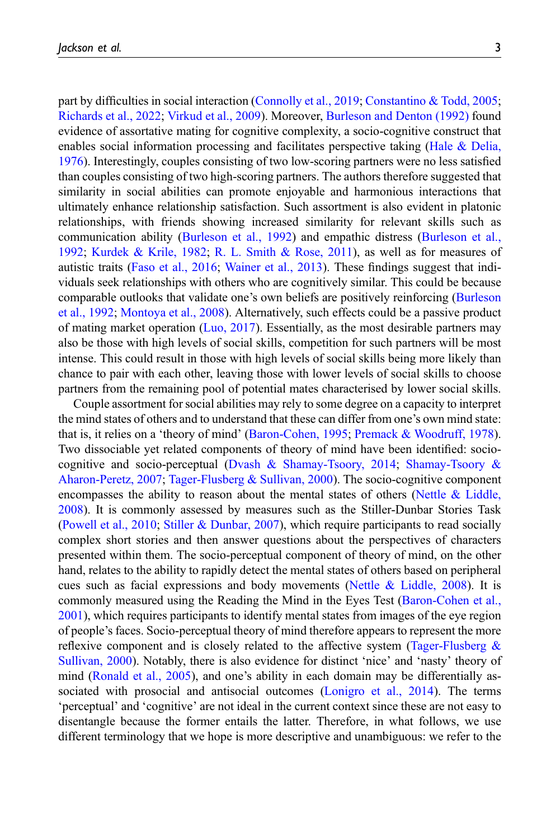part by difficulties in social interaction ([Connolly et al., 2019](#page-16-1); [Constantino & Todd, 2005;](#page-16-2) [Richards et al., 2022](#page-18-1); [Virkud et al., 2009](#page-19-2)). Moreover, [Burleson and Denton \(1992\)](#page-15-2) found evidence of assortative mating for cognitive complexity, a socio-cognitive construct that enables social information processing and facilitates perspective taking [\(Hale & Delia,](#page-16-3) [1976\)](#page-16-3). Interestingly, couples consisting of two low-scoring partners were no less satisfied than couples consisting of two high-scoring partners. The authors therefore suggested that similarity in social abilities can promote enjoyable and harmonious interactions that ultimately enhance relationship satisfaction. Such assortment is also evident in platonic relationships, with friends showing increased similarity for relevant skills such as communication ability ([Burleson et al., 1992\)](#page-16-4) and empathic distress [\(Burleson et al.,](#page-16-4) [1992;](#page-16-4) [Kurdek & Krile, 1982](#page-17-5); [R. L. Smith & Rose, 2011\)](#page-19-3), as well as for measures of autistic traits ([Faso et al., 2016;](#page-16-5) [Wainer et al., 2013](#page-19-4)). These findings suggest that individuals seek relationships with others who are cognitively similar. This could be because comparable outlooks that validate one's own beliefs are positively reinforcing [\(Burleson](#page-16-4) [et al., 1992](#page-16-4); [Montoya et al., 2008\)](#page-18-0). Alternatively, such effects could be a passive product of mating market operation ([Luo, 2017\)](#page-17-0). Essentially, as the most desirable partners may also be those with high levels of social skills, competition for such partners will be most intense. This could result in those with high levels of social skills being more likely than chance to pair with each other, leaving those with lower levels of social skills to choose partners from the remaining pool of potential mates characterised by lower social skills.

Couple assortment for social abilities may rely to some degree on a capacity to interpret the mind states of others and to understand that these can differ from one's own mind state: that is, it relies on a 'theory of mind' ([Baron-Cohen, 1995](#page-15-3); [Premack & Woodruff, 1978\)](#page-18-2). Two dissociable yet related components of theory of mind have been identified: sociocognitive and socio-perceptual ([Dvash & Shamay-Tsoory, 2014](#page-16-6); [Shamay-Tsoory &](#page-18-3) [Aharon-Peretz, 2007](#page-18-3); [Tager-Flusberg & Sullivan, 2000](#page-19-5)). The socio-cognitive component encompasses the ability to reason about the mental states of others ([Nettle & Liddle,](#page-18-4) [2008\)](#page-18-4). It is commonly assessed by measures such as the Stiller-Dunbar Stories Task [\(Powell et al., 2010;](#page-18-5) [Stiller & Dunbar, 2007\)](#page-19-6), which require participants to read socially complex short stories and then answer questions about the perspectives of characters presented within them. The socio-perceptual component of theory of mind, on the other hand, relates to the ability to rapidly detect the mental states of others based on peripheral cues such as facial expressions and body movements [\(Nettle & Liddle, 2008](#page-18-4)). It is commonly measured using the Reading the Mind in the Eyes Test ([Baron-Cohen et al.,](#page-15-4) [2001\)](#page-15-4), which requires participants to identify mental states from images of the eye region of people's faces. Socio-perceptual theory of mind therefore appears to represent the more reflexive component and is closely related to the affective system (Tager-Flusberg  $\&$ [Sullivan, 2000](#page-19-5)). Notably, there is also evidence for distinct 'nice' and 'nasty' theory of mind [\(Ronald et al., 2005](#page-18-6)), and one's ability in each domain may be differentially associated with prosocial and antisocial outcomes [\(Lonigro et al., 2014\)](#page-17-6). The terms 'perceptual' and 'cognitive' are not ideal in the current context since these are not easy to disentangle because the former entails the latter. Therefore, in what follows, we use different terminology that we hope is more descriptive and unambiguous: we refer to the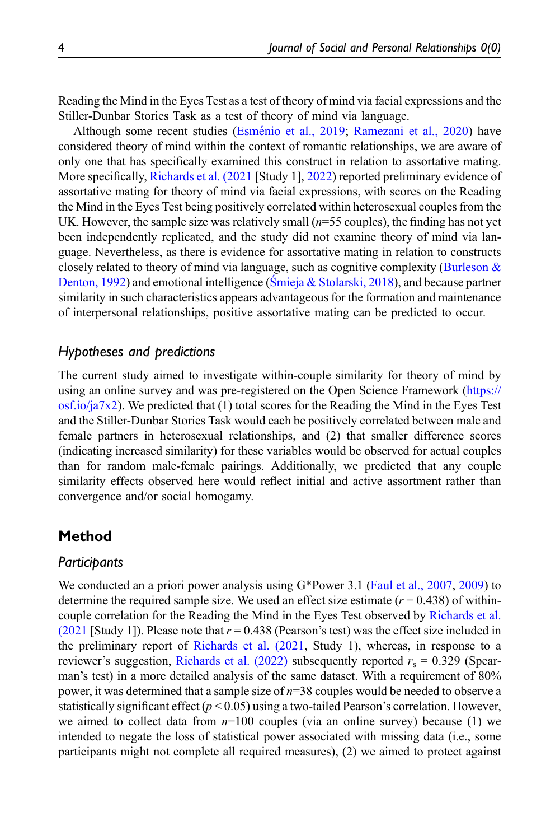Reading the Mind in the Eyes Test as a test of theory of mind via facial expressions and the Stiller-Dunbar Stories Task as a test of theory of mind via language.

Although some recent studies (Esménio et al., 2019; [Ramezani et al., 2020](#page-18-7)) have considered theory of mind within the context of romantic relationships, we are aware of only one that has specifically examined this construct in relation to assortative mating. More specifically, [Richards et al. \(2021](#page-18-8) [Study 1], [2022\)](#page-18-1) reported preliminary evidence of assortative mating for theory of mind via facial expressions, with scores on the Reading the Mind in the Eyes Test being positively correlated within heterosexual couples from the UK. However, the sample size was relatively small  $(n=55 \text{ couples})$ , the finding has not yet been independently replicated, and the study did not examine theory of mind via language. Nevertheless, as there is evidence for assortative mating in relation to constructs closely related to theory of mind via language, such as cognitive complexity (Burleson  $\&$ [Denton, 1992\)](#page-15-2) and emotional intelligence (S[mieja & Stolarski, 2018](#page-19-7)), and because partner similarity in such characteristics appears advantageous for the formation and maintenance of interpersonal relationships, positive assortative mating can be predicted to occur.

## Hypotheses and predictions

The current study aimed to investigate within-couple similarity for theory of mind by using an online survey and was pre-registered on the Open Science Framework ([https://](https://osf.io/ja7x2) [osf.io/ja7x2](https://osf.io/ja7x2)). We predicted that  $(1)$  total scores for the Reading the Mind in the Eyes Test and the Stiller-Dunbar Stories Task would each be positively correlated between male and female partners in heterosexual relationships, and (2) that smaller difference scores (indicating increased similarity) for these variables would be observed for actual couples than for random male-female pairings. Additionally, we predicted that any couple similarity effects observed here would reflect initial and active assortment rather than convergence and/or social homogamy.

## Method

### **Participants**

We conducted an a priori power analysis using G\*Power 3.1 ([Faul et al., 2007,](#page-16-8) [2009\)](#page-16-9) to determine the required sample size. We used an effect size estimate  $(r = 0.438)$  of withincouple correlation for the Reading the Mind in the Eyes Test observed by [Richards et al.](#page-18-8) [\(2021](#page-18-8) [Study 1]). Please note that  $r = 0.438$  (Pearson's test) was the effect size included in the preliminary report of [Richards et al. \(2021,](#page-18-8) Study 1), whereas, in response to a reviewer's suggestion, [Richards et al. \(2022\)](#page-18-1) subsequently reported  $r_s = 0.329$  (Spearman's test) in a more detailed analysis of the same dataset. With a requirement of 80% power, it was determined that a sample size of  $n=38$  couples would be needed to observe a statistically significant effect ( $p < 0.05$ ) using a two-tailed Pearson's correlation. However, we aimed to collect data from  $n=100$  couples (via an online survey) because (1) we intended to negate the loss of statistical power associated with missing data (i.e., some participants might not complete all required measures), (2) we aimed to protect against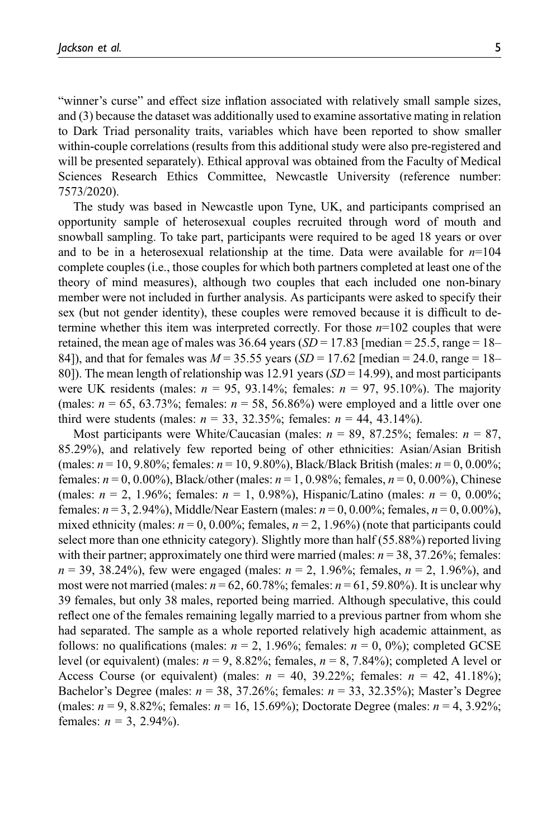"winner's curse" and effect size inflation associated with relatively small sample sizes, and (3) because the dataset was additionally used to examine assortative mating in relation to Dark Triad personality traits, variables which have been reported to show smaller within-couple correlations (results from this additional study were also pre-registered and will be presented separately). Ethical approval was obtained from the Faculty of Medical Sciences Research Ethics Committee, Newcastle University (reference number: 7573/2020).

The study was based in Newcastle upon Tyne, UK, and participants comprised an opportunity sample of heterosexual couples recruited through word of mouth and snowball sampling. To take part, participants were required to be aged 18 years or over and to be in a heterosexual relationship at the time. Data were available for  $n=104$ complete couples (i.e., those couples for which both partners completed at least one of the theory of mind measures), although two couples that each included one non-binary member were not included in further analysis. As participants were asked to specify their sex (but not gender identity), these couples were removed because it is difficult to determine whether this item was interpreted correctly. For those  $n=102$  couples that were retained, the mean age of males was 36.64 years  $(SD = 17.83$  [median = 25.5, range = 18– 84]), and that for females was  $M = 35.55$  years  $(SD = 17.62$  [median = 24.0, range = 18– 80]). The mean length of relationship was 12.91 years  $(SD = 14.99)$ , and most participants were UK residents (males:  $n = 95$ , 93.14%; females:  $n = 97$ , 95.10%). The majority (males:  $n = 65, 63.73\%$ ; females:  $n = 58, 56.86\%$ ) were employed and a little over one third were students (males:  $n = 33, 32.35\%$ ; females:  $n = 44, 43.14\%$ ).

Most participants were White/Caucasian (males:  $n = 89, 87.25\%$ ; females:  $n = 87$ , 85.29%), and relatively few reported being of other ethnicities: Asian/Asian British (males:  $n = 10, 9.80\%$ ; females:  $n = 10, 9.80\%$ ), Black/Black British (males:  $n = 0, 0.00\%$ ; females:  $n = 0, 0.00\%$ ), Black/other (males:  $n = 1, 0.98\%$ ; females,  $n = 0, 0.00\%$ ), Chinese (males:  $n = 2$ , 1.96%; females:  $n = 1$ , 0.98%), Hispanic/Latino (males:  $n = 0$ , 0.00%; females:  $n = 3, 2.94\%$ ), Middle/Near Eastern (males:  $n = 0, 0.00\%$ ; females,  $n = 0, 0.00\%$ ), mixed ethnicity (males:  $n = 0$ , 0.00%; females,  $n = 2$ , 1.96%) (note that participants could select more than one ethnicity category). Slightly more than half (55.88%) reported living with their partner; approximately one third were married (males:  $n = 38, 37.26\%$ ; females:  $n = 39, 38.24\%)$ , few were engaged (males:  $n = 2, 1.96\%$ ; females,  $n = 2, 1.96\%$ ), and most were not married (males:  $n = 62, 60.78\%$ ; females:  $n = 61, 59.80\%$ ). It is unclear why 39 females, but only 38 males, reported being married. Although speculative, this could reflect one of the females remaining legally married to a previous partner from whom she had separated. The sample as a whole reported relatively high academic attainment, as follows: no qualifications (males:  $n = 2$ , 1.96%; females:  $n = 0$ , 0%); completed GCSE level (or equivalent) (males:  $n = 9, 8.82\%$ ; females,  $n = 8, 7.84\%$ ); completed A level or Access Course (or equivalent) (males:  $n = 40, 39.22\%$ ; females:  $n = 42, 41.18\%$ ); Bachelor's Degree (males:  $n = 38, 37.26\%$ ; females:  $n = 33, 32.35\%$ ); Master's Degree (males:  $n = 9, 8.82\%$ ; females:  $n = 16, 15.69\%$ ); Doctorate Degree (males:  $n = 4, 3.92\%$ ; females:  $n = 3, 2.94\%$ ).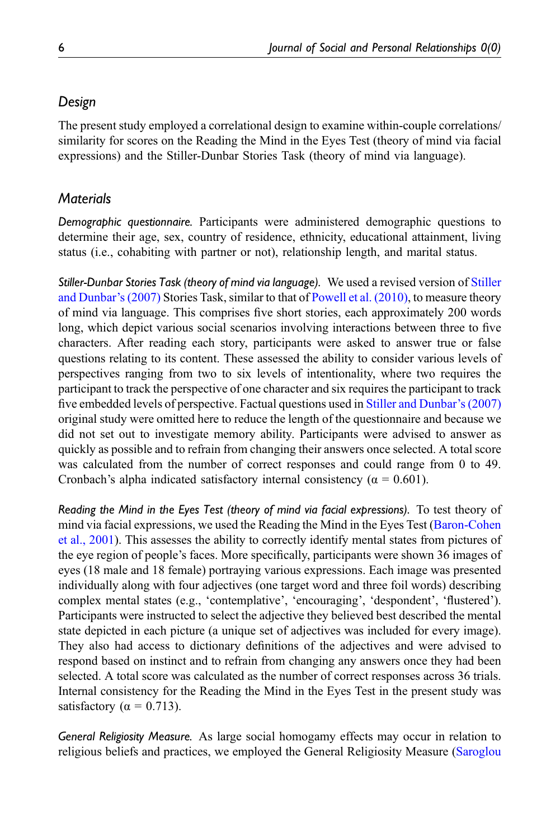# Design

The present study employed a correlational design to examine within-couple correlations/ similarity for scores on the Reading the Mind in the Eyes Test (theory of mind via facial expressions) and the Stiller-Dunbar Stories Task (theory of mind via language).

# **Materials**

Demographic questionnaire. Participants were administered demographic questions to determine their age, sex, country of residence, ethnicity, educational attainment, living status (i.e., cohabiting with partner or not), relationship length, and marital status.

Stiller-Dunbar Stories Task (theory of mind via language). We used a revised version of [Stiller](#page-19-6) [and Dunbar](#page-19-6)'s (2007) Stories Task, similar to that of [Powell et al. \(2010\)](#page-18-5), to measure theory of mind via language. This comprises five short stories, each approximately 200 words long, which depict various social scenarios involving interactions between three to five characters. After reading each story, participants were asked to answer true or false questions relating to its content. These assessed the ability to consider various levels of perspectives ranging from two to six levels of intentionality, where two requires the participant to track the perspective of one character and six requires the participant to track five embedded levels of perspective. Factual questions used in [Stiller and Dunbar](#page-19-6)'s (2007) original study were omitted here to reduce the length of the questionnaire and because we did not set out to investigate memory ability. Participants were advised to answer as quickly as possible and to refrain from changing their answers once selected. A total score was calculated from the number of correct responses and could range from 0 to 49. Cronbach's alpha indicated satisfactory internal consistency ( $\alpha = 0.601$ ).

Reading the Mind in the Eyes Test (theory of mind via facial expressions). To test theory of mind via facial expressions, we used the Reading the Mind in the Eyes Test ([Baron-Cohen](#page-15-4) [et al., 2001](#page-15-4)). This assesses the ability to correctly identify mental states from pictures of the eye region of people's faces. More specifically, participants were shown 36 images of eyes (18 male and 18 female) portraying various expressions. Each image was presented individually along with four adjectives (one target word and three foil words) describing complex mental states (e.g., 'contemplative', 'encouraging', 'despondent', 'flustered'). Participants were instructed to select the adjective they believed best described the mental state depicted in each picture (a unique set of adjectives was included for every image). They also had access to dictionary definitions of the adjectives and were advised to respond based on instinct and to refrain from changing any answers once they had been selected. A total score was calculated as the number of correct responses across 36 trials. Internal consistency for the Reading the Mind in the Eyes Test in the present study was satisfactory ( $\alpha = 0.713$ ).

General Religiosity Measure. As large social homogamy effects may occur in relation to religious beliefs and practices, we employed the General Religiosity Measure [\(Saroglou](#page-18-9)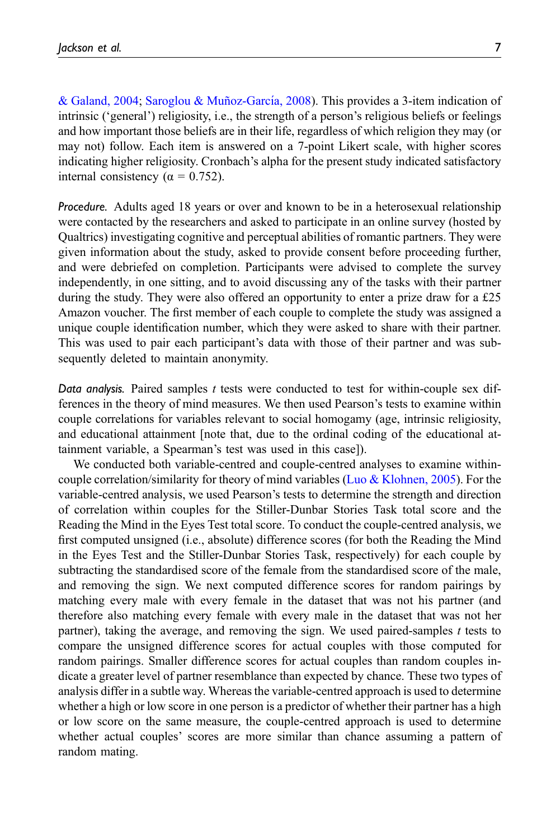[& Galand, 2004;](#page-18-9) Saroglou & Muñoz-Garcí[a, 2008\)](#page-18-10). This provides a 3-item indication of intrinsic ('general') religiosity, i.e., the strength of a person's religious beliefs or feelings and how important those beliefs are in their life, regardless of which religion they may (or may not) follow. Each item is answered on a 7-point Likert scale, with higher scores indicating higher religiosity. Cronbach's alpha for the present study indicated satisfactory internal consistency ( $α = 0.752$ ).

Procedure. Adults aged 18 years or over and known to be in a heterosexual relationship were contacted by the researchers and asked to participate in an online survey (hosted by Qualtrics) investigating cognitive and perceptual abilities of romantic partners. They were given information about the study, asked to provide consent before proceeding further, and were debriefed on completion. Participants were advised to complete the survey independently, in one sitting, and to avoid discussing any of the tasks with their partner during the study. They were also offered an opportunity to enter a prize draw for a £25 Amazon voucher. The first member of each couple to complete the study was assigned a unique couple identification number, which they were asked to share with their partner. This was used to pair each participant's data with those of their partner and was subsequently deleted to maintain anonymity.

Data analysis. Paired samples t tests were conducted to test for within-couple sex differences in the theory of mind measures. We then used Pearson's tests to examine within couple correlations for variables relevant to social homogamy (age, intrinsic religiosity, and educational attainment [note that, due to the ordinal coding of the educational attainment variable, a Spearman's test was used in this case]).

We conducted both variable-centred and couple-centred analyses to examine withincouple correlation/similarity for theory of mind variables ([Luo & Klohnen, 2005\)](#page-17-2). For the variable-centred analysis, we used Pearson's tests to determine the strength and direction of correlation within couples for the Stiller-Dunbar Stories Task total score and the Reading the Mind in the Eyes Test total score. To conduct the couple-centred analysis, we first computed unsigned (i.e., absolute) difference scores (for both the Reading the Mind in the Eyes Test and the Stiller-Dunbar Stories Task, respectively) for each couple by subtracting the standardised score of the female from the standardised score of the male, and removing the sign. We next computed difference scores for random pairings by matching every male with every female in the dataset that was not his partner (and therefore also matching every female with every male in the dataset that was not her partner), taking the average, and removing the sign. We used paired-samples  $t$  tests to compare the unsigned difference scores for actual couples with those computed for random pairings. Smaller difference scores for actual couples than random couples indicate a greater level of partner resemblance than expected by chance. These two types of analysis differ in a subtle way. Whereas the variable-centred approach is used to determine whether a high or low score in one person is a predictor of whether their partner has a high or low score on the same measure, the couple-centred approach is used to determine whether actual couples' scores are more similar than chance assuming a pattern of random mating.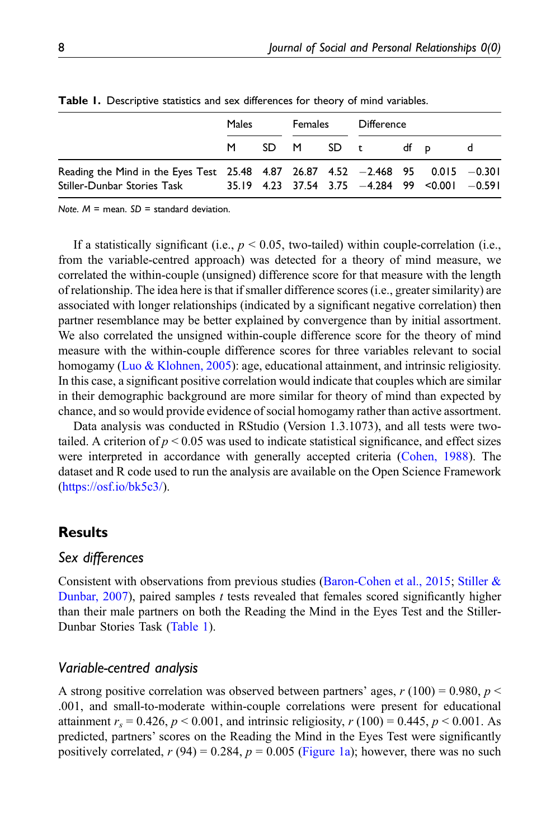|                                                                                                                                                                 | Males |  | Females |  | Difference       |  |  |   |
|-----------------------------------------------------------------------------------------------------------------------------------------------------------------|-------|--|---------|--|------------------|--|--|---|
|                                                                                                                                                                 |       |  |         |  | M SD M SD t df p |  |  | d |
| Reading the Mind in the Eyes Test 25.48 4.87 26.87 4.52 $-2.468$ 95 0.015 $-0.301$<br>Stiller-Dunbar Stories Task 35.19 4.23 37.54 3.75 -4.284 99 <0.001 -0.591 |       |  |         |  |                  |  |  |   |

Table 1. Descriptive statistics and sex differences for theory of mind variables.

<span id="page-7-0"></span>Note.  $M =$  mean.  $SD =$  standard deviation.

If a statistically significant (i.e.,  $p < 0.05$ , two-tailed) within couple-correlation (i.e., from the variable-centred approach) was detected for a theory of mind measure, we correlated the within-couple (unsigned) difference score for that measure with the length of relationship. The idea here is that if smaller difference scores (i.e., greater similarity) are associated with longer relationships (indicated by a significant negative correlation) then partner resemblance may be better explained by convergence than by initial assortment. We also correlated the unsigned within-couple difference score for the theory of mind measure with the within-couple difference scores for three variables relevant to social homogamy [\(Luo & Klohnen, 2005](#page-17-2)): age, educational attainment, and intrinsic religiosity. In this case, a significant positive correlation would indicate that couples which are similar in their demographic background are more similar for theory of mind than expected by chance, and so would provide evidence of social homogamy rather than active assortment.

Data analysis was conducted in RStudio (Version 1.3.1073), and all tests were twotailed. A criterion of  $p < 0.05$  was used to indicate statistical significance, and effect sizes were interpreted in accordance with generally accepted criteria [\(Cohen, 1988](#page-16-10)). The dataset and R code used to run the analysis are available on the Open Science Framework [\(https://osf.io/bk5c3/\)](https://osf.io/bk5c3/).

## Results

## Sex differences

Consistent with observations from previous studies ([Baron-Cohen et al., 2015](#page-15-5); [Stiller &](#page-19-6) Dunbar,  $2007$ ), paired samples t tests revealed that females scored significantly higher than their male partners on both the Reading the Mind in the Eyes Test and the Stiller-Dunbar Stories Task ([Table 1](#page-7-0)).

### Variable-centred analysis

A strong positive correlation was observed between partners' ages,  $r(100) = 0.980$ ,  $p \le$ .001, and small-to-moderate within-couple correlations were present for educational attainment  $r_s = 0.426$ ,  $p < 0.001$ , and intrinsic religiosity,  $r(100) = 0.445$ ,  $p < 0.001$ . As predicted, partners' scores on the Reading the Mind in the Eyes Test were significantly positively correlated,  $r(94) = 0.284$ ,  $p = 0.005$  ([Figure 1a\)](#page-8-0); however, there was no such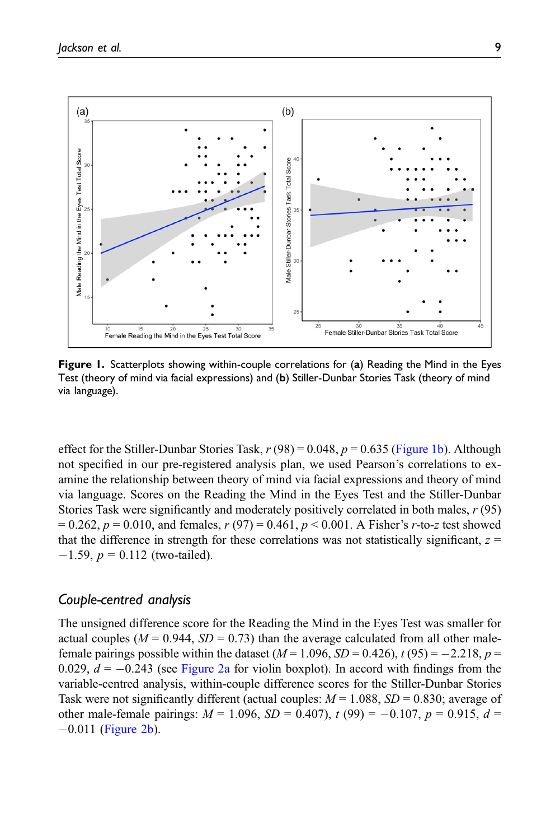

<span id="page-8-0"></span>Figure 1. Scatterplots showing within-couple correlations for (a) Reading the Mind in the Eyes Test (theory of mind via facial expressions) and (b) Stiller-Dunbar Stories Task (theory of mind via language).

effect for the Stiller-Dunbar Stories Task,  $r(98) = 0.048$ ,  $p = 0.635$  ([Figure 1b\)](#page-8-0). Although not specified in our pre-registered analysis plan, we used Pearson's correlations to examine the relationship between theory of mind via facial expressions and theory of mind via language. Scores on the Reading the Mind in the Eyes Test and the Stiller-Dunbar Stories Task were significantly and moderately positively correlated in both males, r (95)  $= 0.262$ ,  $p = 0.010$ , and females,  $r(97) = 0.461$ ,  $p < 0.001$ . A Fisher's r-to-z test showed that the difference in strength for these correlations was not statistically significant,  $z =$  $-1.59$ ,  $p = 0.112$  (two-tailed).

## Couple-centred analysis

The unsigned difference score for the Reading the Mind in the Eyes Test was smaller for actual couples ( $M = 0.944$ ,  $SD = 0.73$ ) than the average calculated from all other malefemale pairings possible within the dataset ( $M = 1.096$ ,  $SD = 0.426$ ),  $t(95) = -2.218$ ,  $p =$ 0.029,  $d = -0.243$  (see [Figure 2a](#page-9-0) for violin boxplot). In accord with findings from the variable-centred analysis, within-couple difference scores for the Stiller-Dunbar Stories Task were not significantly different (actual couples:  $M = 1.088$ ,  $SD = 0.830$ ; average of other male-female pairings:  $M = 1.096$ ,  $SD = 0.407$ ),  $t(99) = -0.107$ ,  $p = 0.915$ ,  $d =$  $-0.011$  [\(Figure 2b](#page-9-0)).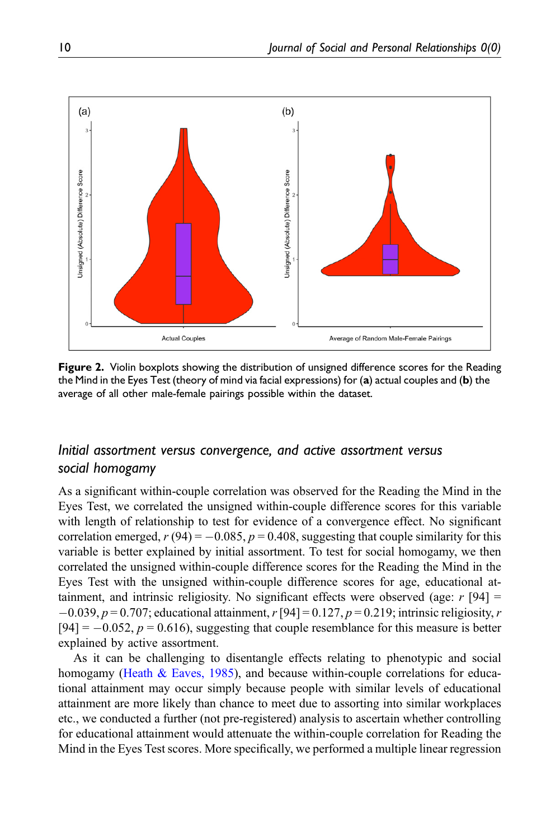

<span id="page-9-0"></span>Figure 2. Violin boxplots showing the distribution of unsigned difference scores for the Reading the Mind in the Eyes Test (theory of mind via facial expressions) for (a) actual couples and (b) the average of all other male-female pairings possible within the dataset.

# Initial assortment versus convergence, and active assortment versus social homogamy

As a significant within-couple correlation was observed for the Reading the Mind in the Eyes Test, we correlated the unsigned within-couple difference scores for this variable with length of relationship to test for evidence of a convergence effect. No significant correlation emerged,  $r(94) = -0.085$ ,  $p = 0.408$ , suggesting that couple similarity for this variable is better explained by initial assortment. To test for social homogamy, we then correlated the unsigned within-couple difference scores for the Reading the Mind in the Eyes Test with the unsigned within-couple difference scores for age, educational attainment, and intrinsic religiosity. No significant effects were observed (age:  $r$  [94] =  $-0.039, p = 0.707$ ; educational attainment, r [94] = 0.127, p = 0.219; intrinsic religiosity, r  $[94] = -0.052$ ,  $p = 0.616$ ), suggesting that couple resemblance for this measure is better explained by active assortment.

As it can be challenging to disentangle effects relating to phenotypic and social homogamy [\(Heath & Eaves, 1985](#page-16-11)), and because within-couple correlations for educational attainment may occur simply because people with similar levels of educational attainment are more likely than chance to meet due to assorting into similar workplaces etc., we conducted a further (not pre-registered) analysis to ascertain whether controlling for educational attainment would attenuate the within-couple correlation for Reading the Mind in the Eyes Test scores. More specifically, we performed a multiple linear regression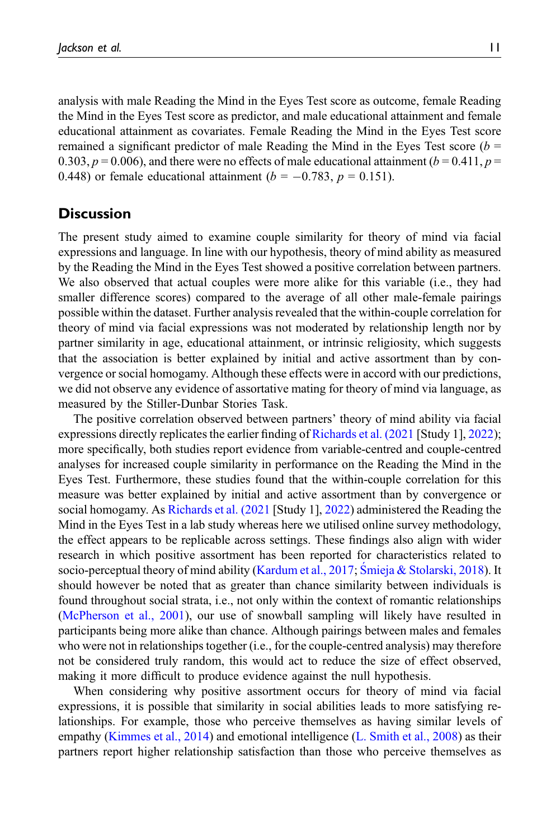analysis with male Reading the Mind in the Eyes Test score as outcome, female Reading the Mind in the Eyes Test score as predictor, and male educational attainment and female educational attainment as covariates. Female Reading the Mind in the Eyes Test score remained a significant predictor of male Reading the Mind in the Eyes Test score  $(b =$ 0.303,  $p = 0.006$ ), and there were no effects of male educational attainment ( $b = 0.411$ ,  $p =$ 0.448) or female educational attainment ( $b = -0.783$ ,  $p = 0.151$ ).

## **Discussion**

The present study aimed to examine couple similarity for theory of mind via facial expressions and language. In line with our hypothesis, theory of mind ability as measured by the Reading the Mind in the Eyes Test showed a positive correlation between partners. We also observed that actual couples were more alike for this variable (i.e., they had smaller difference scores) compared to the average of all other male-female pairings possible within the dataset. Further analysis revealed that the within-couple correlation for theory of mind via facial expressions was not moderated by relationship length nor by partner similarity in age, educational attainment, or intrinsic religiosity, which suggests that the association is better explained by initial and active assortment than by convergence or social homogamy. Although these effects were in accord with our predictions, we did not observe any evidence of assortative mating for theory of mind via language, as measured by the Stiller-Dunbar Stories Task.

The positive correlation observed between partners' theory of mind ability via facial expressions directly replicates the earlier finding of [Richards et al. \(2021](#page-18-8) [Study 1], [2022](#page-18-1)); more specifically, both studies report evidence from variable-centred and couple-centred analyses for increased couple similarity in performance on the Reading the Mind in the Eyes Test. Furthermore, these studies found that the within-couple correlation for this measure was better explained by initial and active assortment than by convergence or social homogamy. As [Richards et al. \(2021](#page-18-8) [Study 1], [2022\)](#page-18-1) administered the Reading the Mind in the Eyes Test in a lab study whereas here we utilised online survey methodology, the effect appears to be replicable across settings. These findings also align with wider research in which positive assortment has been reported for characteristics related to socio-perceptual theory of mind ability ([Kardum et al., 2017;](#page-17-3) [Smieja & Stolarski, 2018](#page-19-7)). It should however be noted that as greater than chance similarity between individuals is found throughout social strata, i.e., not only within the context of romantic relationships [\(McPherson et al., 2001](#page-17-1)), our use of snowball sampling will likely have resulted in participants being more alike than chance. Although pairings between males and females who were not in relationships together (i.e., for the couple-centred analysis) may therefore not be considered truly random, this would act to reduce the size of effect observed, making it more difficult to produce evidence against the null hypothesis.

When considering why positive assortment occurs for theory of mind via facial expressions, it is possible that similarity in social abilities leads to more satisfying relationships. For example, those who perceive themselves as having similar levels of empathy ([Kimmes et al., 2014](#page-17-7)) and emotional intelligence [\(L. Smith et al., 2008\)](#page-19-8) as their partners report higher relationship satisfaction than those who perceive themselves as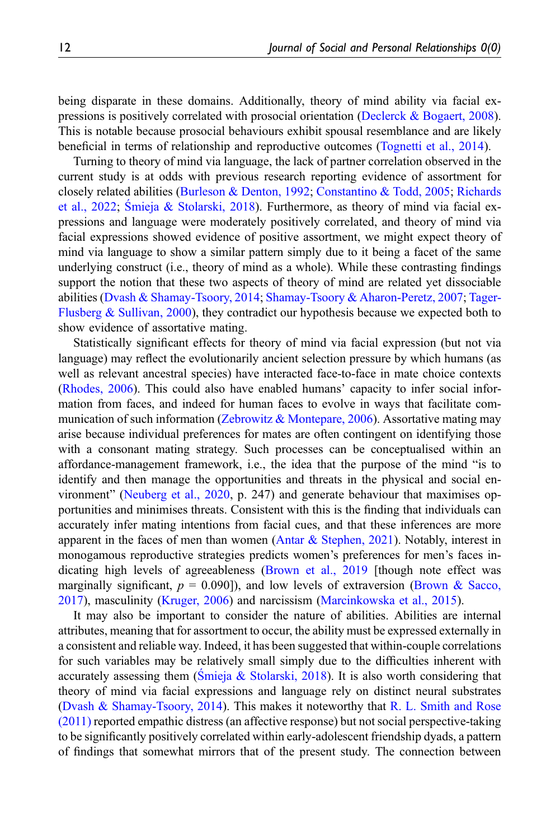being disparate in these domains. Additionally, theory of mind ability via facial expressions is positively correlated with prosocial orientation ([Declerck & Bogaert, 2008\)](#page-16-12). This is notable because prosocial behaviours exhibit spousal resemblance and are likely beneficial in terms of relationship and reproductive outcomes ([Tognetti et al., 2014\)](#page-19-0).

Turning to theory of mind via language, the lack of partner correlation observed in the current study is at odds with previous research reporting evidence of assortment for closely related abilities [\(Burleson & Denton, 1992;](#page-15-2) [Constantino & Todd, 2005;](#page-16-2) [Richards](#page-18-1) [et al., 2022](#page-18-1); S[mieja & Stolarski, 2018](#page-19-7)). Furthermore, as theory of mind via facial expressions and language were moderately positively correlated, and theory of mind via facial expressions showed evidence of positive assortment, we might expect theory of mind via language to show a similar pattern simply due to it being a facet of the same underlying construct (i.e., theory of mind as a whole). While these contrasting findings support the notion that these two aspects of theory of mind are related yet dissociable abilities [\(Dvash & Shamay-Tsoory, 2014](#page-16-6); [Shamay-Tsoory & Aharon-Peretz, 2007](#page-18-3); [Tager-](#page-19-5)[Flusberg & Sullivan, 2000](#page-19-5)), they contradict our hypothesis because we expected both to show evidence of assortative mating.

Statistically significant effects for theory of mind via facial expression (but not via language) may reflect the evolutionarily ancient selection pressure by which humans (as well as relevant ancestral species) have interacted face-to-face in mate choice contexts [\(Rhodes, 2006](#page-18-11)). This could also have enabled humans' capacity to infer social information from faces, and indeed for human faces to evolve in ways that facilitate communication of such information [\(Zebrowitz & Montepare, 2006\)](#page-19-9). Assortative mating may arise because individual preferences for mates are often contingent on identifying those with a consonant mating strategy. Such processes can be conceptualised within an affordance-management framework, i.e., the idea that the purpose of the mind "is to identify and then manage the opportunities and threats in the physical and social environment" ([Neuberg et al., 2020,](#page-18-12) p. 247) and generate behaviour that maximises opportunities and minimises threats. Consistent with this is the finding that individuals can accurately infer mating intentions from facial cues, and that these inferences are more apparent in the faces of men than women (Antar  $\&$  Stephen, 2021). Notably, interest in monogamous reproductive strategies predicts women's preferences for men's faces indicating high levels of agreeableness ([Brown et al., 2019](#page-15-7) [though note effect was marginally significant,  $p = 0.090$ ], and low levels of extraversion [\(Brown & Sacco,](#page-15-8) [2017\)](#page-15-8), masculinity ([Kruger, 2006](#page-17-8)) and narcissism [\(Marcinkowska et al., 2015](#page-17-9)).

It may also be important to consider the nature of abilities. Abilities are internal attributes, meaning that for assortment to occur, the ability must be expressed externally in a consistent and reliable way. Indeed, it has been suggested that within-couple correlations for such variables may be relatively small simply due to the difficulties inherent with accurately assessing them (S[mieja & Stolarski, 2018](#page-19-7)). It is also worth considering that theory of mind via facial expressions and language rely on distinct neural substrates [\(Dvash & Shamay-Tsoory, 2014\)](#page-16-6). This makes it noteworthy that [R. L. Smith and Rose](#page-19-3) [\(2011\)](#page-19-3) reported empathic distress (an affective response) but not social perspective-taking to be significantly positively correlated within early-adolescent friendship dyads, a pattern of findings that somewhat mirrors that of the present study. The connection between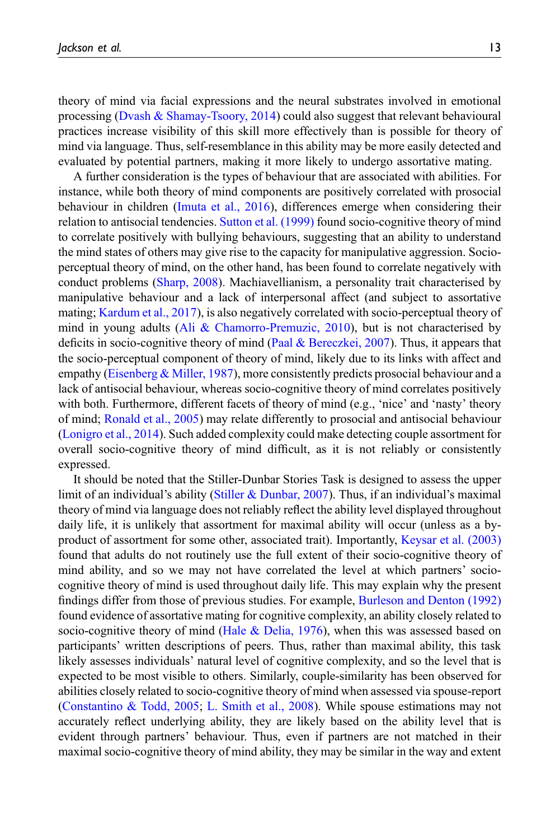theory of mind via facial expressions and the neural substrates involved in emotional processing ([Dvash & Shamay-Tsoory, 2014](#page-16-6)) could also suggest that relevant behavioural practices increase visibility of this skill more effectively than is possible for theory of mind via language. Thus, self-resemblance in this ability may be more easily detected and evaluated by potential partners, making it more likely to undergo assortative mating.

A further consideration is the types of behaviour that are associated with abilities. For instance, while both theory of mind components are positively correlated with prosocial behaviour in children [\(Imuta et al., 2016\)](#page-17-10), differences emerge when considering their relation to antisocial tendencies. [Sutton et al. \(1999\)](#page-19-10) found socio-cognitive theory of mind to correlate positively with bullying behaviours, suggesting that an ability to understand the mind states of others may give rise to the capacity for manipulative aggression. Socioperceptual theory of mind, on the other hand, has been found to correlate negatively with conduct problems ([Sharp, 2008](#page-19-11)). Machiavellianism, a personality trait characterised by manipulative behaviour and a lack of interpersonal affect (and subject to assortative mating; [Kardum et al., 2017\)](#page-17-3), is also negatively correlated with socio-perceptual theory of mind in young adults ([Ali & Chamorro-Premuzic, 2010\)](#page-15-9), but is not characterised by deficits in socio-cognitive theory of mind ([Paal & Bereczkei, 2007](#page-18-13)). Thus, it appears that the socio-perceptual component of theory of mind, likely due to its links with affect and empathy [\(Eisenberg & Miller, 1987](#page-16-13)), more consistently predicts prosocial behaviour and a lack of antisocial behaviour, whereas socio-cognitive theory of mind correlates positively with both. Furthermore, different facets of theory of mind (e.g., 'nice' and 'nasty' theory of mind; [Ronald et al., 2005](#page-18-6)) may relate differently to prosocial and antisocial behaviour [\(Lonigro et al., 2014\)](#page-17-6). Such added complexity could make detecting couple assortment for overall socio-cognitive theory of mind difficult, as it is not reliably or consistently expressed.

It should be noted that the Stiller-Dunbar Stories Task is designed to assess the upper limit of an individual's ability [\(Stiller & Dunbar, 2007\)](#page-19-6). Thus, if an individual's maximal theory of mind via language does not reliably reflect the ability level displayed throughout daily life, it is unlikely that assortment for maximal ability will occur (unless as a byproduct of assortment for some other, associated trait). Importantly, [Keysar et al. \(2003\)](#page-17-11) found that adults do not routinely use the full extent of their socio-cognitive theory of mind ability, and so we may not have correlated the level at which partners' sociocognitive theory of mind is used throughout daily life. This may explain why the present findings differ from those of previous studies. For example, [Burleson and Denton \(1992\)](#page-15-2) found evidence of assortative mating for cognitive complexity, an ability closely related to socio-cognitive theory of mind (Hale  $\&$  Delia, 1976), when this was assessed based on participants' written descriptions of peers. Thus, rather than maximal ability, this task likely assesses individuals' natural level of cognitive complexity, and so the level that is expected to be most visible to others. Similarly, couple-similarity has been observed for abilities closely related to socio-cognitive theory of mind when assessed via spouse-report [\(Constantino & Todd, 2005;](#page-16-2) [L. Smith et al., 2008](#page-19-8)). While spouse estimations may not accurately reflect underlying ability, they are likely based on the ability level that is evident through partners' behaviour. Thus, even if partners are not matched in their maximal socio-cognitive theory of mind ability, they may be similar in the way and extent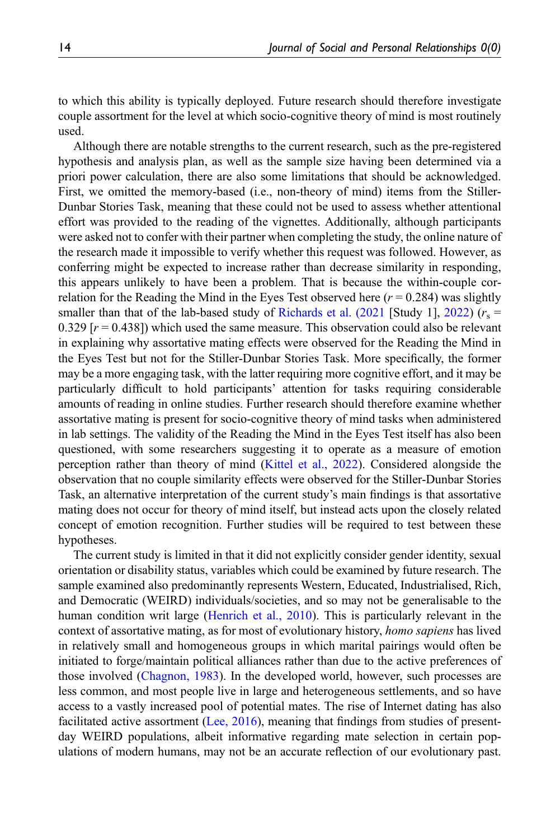to which this ability is typically deployed. Future research should therefore investigate couple assortment for the level at which socio-cognitive theory of mind is most routinely used.

Although there are notable strengths to the current research, such as the pre-registered hypothesis and analysis plan, as well as the sample size having been determined via a priori power calculation, there are also some limitations that should be acknowledged. First, we omitted the memory-based (i.e., non-theory of mind) items from the Stiller-Dunbar Stories Task, meaning that these could not be used to assess whether attentional effort was provided to the reading of the vignettes. Additionally, although participants were asked not to confer with their partner when completing the study, the online nature of the research made it impossible to verify whether this request was followed. However, as conferring might be expected to increase rather than decrease similarity in responding, this appears unlikely to have been a problem. That is because the within-couple correlation for the Reading the Mind in the Eyes Test observed here  $(r = 0.284)$  was slightly smaller than that of the lab-based study of [Richards et al. \(2021](#page-18-8) [Study 1], [2022](#page-18-1))  $(r_s =$ 0.329  $[r = 0.438]$ ) which used the same measure. This observation could also be relevant in explaining why assortative mating effects were observed for the Reading the Mind in the Eyes Test but not for the Stiller-Dunbar Stories Task. More specifically, the former may be a more engaging task, with the latter requiring more cognitive effort, and it may be particularly difficult to hold participants' attention for tasks requiring considerable amounts of reading in online studies. Further research should therefore examine whether assortative mating is present for socio-cognitive theory of mind tasks when administered in lab settings. The validity of the Reading the Mind in the Eyes Test itself has also been questioned, with some researchers suggesting it to operate as a measure of emotion perception rather than theory of mind [\(Kittel et al., 2022](#page-17-12)). Considered alongside the observation that no couple similarity effects were observed for the Stiller-Dunbar Stories Task, an alternative interpretation of the current study's main findings is that assortative mating does not occur for theory of mind itself, but instead acts upon the closely related concept of emotion recognition. Further studies will be required to test between these hypotheses.

The current study is limited in that it did not explicitly consider gender identity, sexual orientation or disability status, variables which could be examined by future research. The sample examined also predominantly represents Western, Educated, Industrialised, Rich, and Democratic (WEIRD) individuals/societies, and so may not be generalisable to the human condition writ large [\(Henrich et al., 2010\)](#page-17-13). This is particularly relevant in the context of assortative mating, as for most of evolutionary history, homo sapiens has lived in relatively small and homogeneous groups in which marital pairings would often be initiated to forge/maintain political alliances rather than due to the active preferences of those involved [\(Chagnon, 1983](#page-16-14)). In the developed world, however, such processes are less common, and most people live in large and heterogeneous settlements, and so have access to a vastly increased pool of potential mates. The rise of Internet dating has also facilitated active assortment [\(Lee, 2016](#page-17-14)), meaning that findings from studies of presentday WEIRD populations, albeit informative regarding mate selection in certain populations of modern humans, may not be an accurate reflection of our evolutionary past.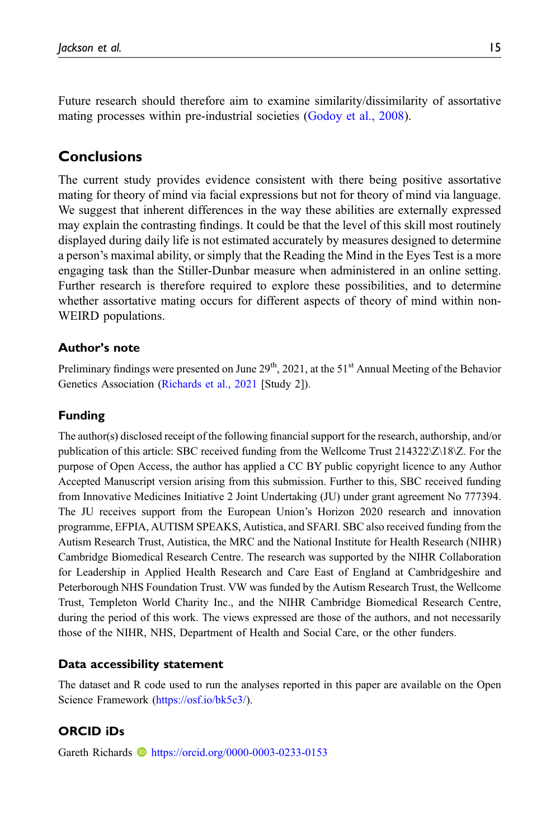Future research should therefore aim to examine similarity/dissimilarity of assortative mating processes within pre-industrial societies [\(Godoy et al., 2008\)](#page-16-0).

# Conclusions

The current study provides evidence consistent with there being positive assortative mating for theory of mind via facial expressions but not for theory of mind via language. We suggest that inherent differences in the way these abilities are externally expressed may explain the contrasting findings. It could be that the level of this skill most routinely displayed during daily life is not estimated accurately by measures designed to determine a person's maximal ability, or simply that the Reading the Mind in the Eyes Test is a more engaging task than the Stiller-Dunbar measure when administered in an online setting. Further research is therefore required to explore these possibilities, and to determine whether assortative mating occurs for different aspects of theory of mind within non-WEIRD populations.

## Author's note

Preliminary findings were presented on June  $29<sup>th</sup>$ , 2021, at the  $51<sup>st</sup>$  Annual Meeting of the Behavior Genetics Association ([Richards et al., 2021](#page-18-8) [Study 2]).

## Funding

The author(s) disclosed receipt of the following financial support for the research, authorship, and/or publication of this article: SBC received funding from the Wellcome Trust 214322\Z\18\Z. For the purpose of Open Access, the author has applied a CC BY public copyright licence to any Author Accepted Manuscript version arising from this submission. Further to this, SBC received funding from Innovative Medicines Initiative 2 Joint Undertaking (JU) under grant agreement No 777394. The JU receives support from the European Union's Horizon 2020 research and innovation programme, EFPIA, AUTISM SPEAKS, Autistica, and SFARI. SBC also received funding from the Autism Research Trust, Autistica, the MRC and the National Institute for Health Research (NIHR) Cambridge Biomedical Research Centre. The research was supported by the NIHR Collaboration for Leadership in Applied Health Research and Care East of England at Cambridgeshire and Peterborough NHS Foundation Trust. VW was funded by the Autism Research Trust, the Wellcome Trust, Templeton World Charity Inc., and the NIHR Cambridge Biomedical Research Centre, during the period of this work. The views expressed are those of the authors, and not necessarily those of the NIHR, NHS, Department of Health and Social Care, or the other funders.

### Data accessibility statement

The dataset and R code used to run the analyses reported in this paper are available on the Open Science Framework [\(https://osf.io/bk5c3/\)](https://osf.io/bk5c3/).

### ORCID iDs

Gareth Richards **b** <https://orcid.org/0000-0003-0233-0153>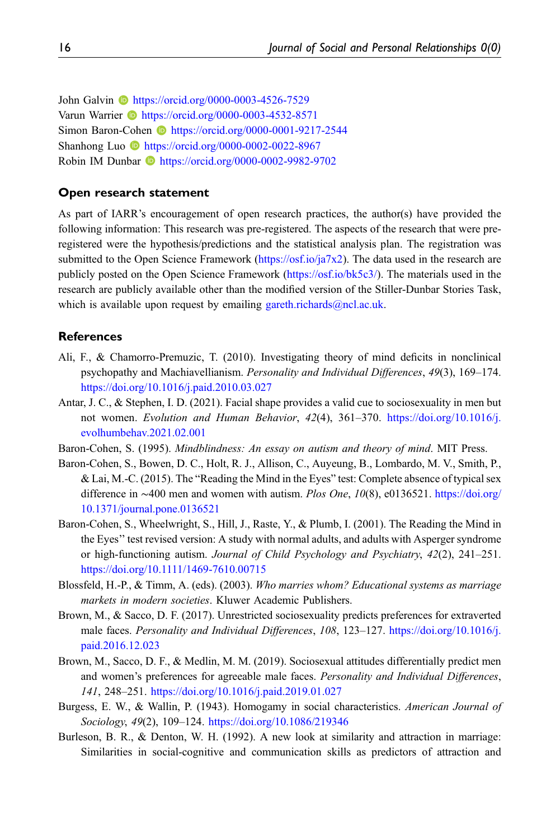John Galvin **I** <https://orcid.org/0000-0003-4526-7529> Varun Warrier **ID** <https://orcid.org/0000-0003-4532-8571> Simon Baron-Cohen **b** <https://orcid.org/0000-0001-9217-2544> Shanhong Luo **b** <https://orcid.org/0000-0002-0022-8967> Robin IM Dunbar **b** <https://orcid.org/0000-0002-9982-9702>

#### Open research statement

As part of IARR's encouragement of open research practices, the author(s) have provided the following information: This research was pre-registered. The aspects of the research that were preregistered were the hypothesis/predictions and the statistical analysis plan. The registration was submitted to the Open Science Framework [\(https://osf.io/ja7x2\)](https://https//osf.io/ja7x2). The data used in the research are publicly posted on the Open Science Framework (<https://osf.io/bk5c3/>). The materials used in the research are publicly available other than the modified version of the Stiller-Dunbar Stories Task, which is available upon request by emailing gareth.richards $@ncl.ac.uk$ .

#### <span id="page-15-9"></span>**References**

- Ali, F., & Chamorro-Premuzic, T. (2010). Investigating theory of mind deficits in nonclinical psychopathy and Machiavellianism. Personality and Individual Differences, 49(3), 169–174. <https://doi.org/10.1016/j.paid.2010.03.027>
- <span id="page-15-6"></span>Antar, J. C., & Stephen, I. D. (2021). Facial shape provides a valid cue to sociosexuality in men but not women. Evolution and Human Behavior, 42(4), 361–370. [https://doi.org/10.1016/j.](https://doi.org/10.1016/j.evolhumbehav.2021.02.001) [evolhumbehav.2021.02.001](https://doi.org/10.1016/j.evolhumbehav.2021.02.001)
- <span id="page-15-5"></span><span id="page-15-3"></span>Baron-Cohen, S. (1995). Mindblindness: An essay on autism and theory of mind. MIT Press.
- Baron-Cohen, S., Bowen, D. C., Holt, R. J., Allison, C., Auyeung, B., Lombardo, M. V., Smith, P., & Lai, M.-C. (2015). The "Reading the Mind in the Eyes" test: Complete absence of typical sex difference in ∼400 men and women with autism. Plos One, 10(8), e0136521. [https://doi.org/](https://doi.org/10.1371/journal.pone.0136521) [10.1371/journal.pone.0136521](https://doi.org/10.1371/journal.pone.0136521)
- <span id="page-15-4"></span>Baron-Cohen, S., Wheelwright, S., Hill, J., Raste, Y., & Plumb, I. (2001). The Reading the Mind in the Eyes'' test revised version: A study with normal adults, and adults with Asperger syndrome or high-functioning autism. Journal of Child Psychology and Psychiatry, 42(2), 241–251. <https://doi.org/10.1111/1469-7610.00715>
- <span id="page-15-0"></span>Blossfeld, H.-P., & Timm, A. (eds). (2003). Who marries whom? Educational systems as marriage markets in modern societies. Kluwer Academic Publishers.
- <span id="page-15-8"></span>Brown, M., & Sacco, D. F. (2017). Unrestricted sociosexuality predicts preferences for extraverted male faces. Personality and Individual Differences, 108, 123–127. [https://doi.org/10.1016/j.](https://doi.org/10.1016/j.paid.2016.12.023) [paid.2016.12.023](https://doi.org/10.1016/j.paid.2016.12.023)
- <span id="page-15-7"></span>Brown, M., Sacco, D. F., & Medlin, M. M. (2019). Sociosexual attitudes differentially predict men and women's preferences for agreeable male faces. Personality and Individual Differences, 141, 248–251. <https://doi.org/10.1016/j.paid.2019.01.027>
- <span id="page-15-1"></span>Burgess, E. W., & Wallin, P. (1943). Homogamy in social characteristics. American Journal of Sociology, 49(2), 109–124. <https://doi.org/10.1086/219346>
- <span id="page-15-2"></span>Burleson, B. R., & Denton, W. H. (1992). A new look at similarity and attraction in marriage: Similarities in social-cognitive and communication skills as predictors of attraction and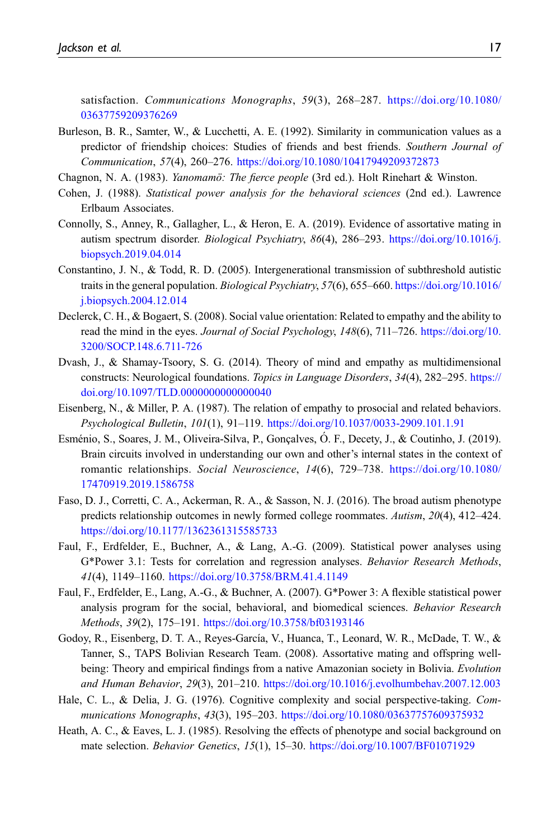satisfaction. Communications Monographs, 59(3), 268–287. [https://doi.org/10.1080/](https://doi.org/10.1080/03637759209376269) [03637759209376269](https://doi.org/10.1080/03637759209376269)

- <span id="page-16-4"></span>Burleson, B. R., Samter, W., & Lucchetti, A. E. (1992). Similarity in communication values as a predictor of friendship choices: Studies of friends and best friends. Southern Journal of Communication, 57(4), 260–276. <https://doi.org/10.1080/10417949209372873>
- <span id="page-16-14"></span><span id="page-16-10"></span>Chagnon, N. A. (1983). *Yanomamö: The fierce people* (3rd ed.). Holt Rinehart & Winston.
- Cohen, J. (1988). Statistical power analysis for the behavioral sciences (2nd ed.). Lawrence Erlbaum Associates.
- <span id="page-16-1"></span>Connolly, S., Anney, R., Gallagher, L., & Heron, E. A. (2019). Evidence of assortative mating in autism spectrum disorder. Biological Psychiatry, 86(4), 286–293. [https://doi.org/10.1016/j.](https://doi.org/10.1016/j.biopsych.2019.04.014) [biopsych.2019.04.014](https://doi.org/10.1016/j.biopsych.2019.04.014)
- <span id="page-16-2"></span>Constantino, J. N., & Todd, R. D. (2005). Intergenerational transmission of subthreshold autistic traits in the general population. Biological Psychiatry, 57(6), 655–660. [https://doi.org/10.1016/](https://doi.org/10.1016/j.biopsych.2004.12.014) [j.biopsych.2004.12.014](https://doi.org/10.1016/j.biopsych.2004.12.014)
- <span id="page-16-12"></span>Declerck, C. H., & Bogaert, S. (2008). Social value orientation: Related to empathy and the ability to read the mind in the eyes. Journal of Social Psychology, 148(6), 711-726. [https://doi.org/10.](https://doi.org/10.3200/SOCP.148.6.711-726) [3200/SOCP.148.6.711-726](https://doi.org/10.3200/SOCP.148.6.711-726)
- <span id="page-16-6"></span>Dvash, J., & Shamay-Tsoory, S. G. (2014). Theory of mind and empathy as multidimensional constructs: Neurological foundations. Topics in Language Disorders, 34(4), 282–295. [https://](https://doi.org/10.1097/TLD.0000000000000040) [doi.org/10.1097/TLD.0000000000000040](https://doi.org/10.1097/TLD.0000000000000040)
- <span id="page-16-13"></span>Eisenberg, N., & Miller, P. A. (1987). The relation of empathy to prosocial and related behaviors. Psychological Bulletin, 101(1), 91–119. <https://doi.org/10.1037/0033-2909.101.1.91>
- <span id="page-16-7"></span>Esménio, S., Soares, J. M., Oliveira-Silva, P., Gonçalves, O. F., Decety, J., & Coutinho, J. (2019). Brain circuits involved in understanding our own and other's internal states in the context of romantic relationships. Social Neuroscience, 14(6), 729–738. [https://doi.org/10.1080/](https://doi.org/10.1080/17470919.2019.1586758) [17470919.2019.1586758](https://doi.org/10.1080/17470919.2019.1586758)
- <span id="page-16-5"></span>Faso, D. J., Corretti, C. A., Ackerman, R. A., & Sasson, N. J. (2016). The broad autism phenotype predicts relationship outcomes in newly formed college roommates. Autism, 20(4), 412–424. <https://doi.org/10.1177/1362361315585733>
- <span id="page-16-9"></span>Faul, F., Erdfelder, E., Buchner, A., & Lang, A.-G. (2009). Statistical power analyses using G\*Power 3.1: Tests for correlation and regression analyses. Behavior Research Methods, 41(4), 1149–1160. <https://doi.org/10.3758/BRM.41.4.1149>
- <span id="page-16-8"></span>Faul, F., Erdfelder, E., Lang, A.-G., & Buchner, A. (2007). G\*Power 3: A flexible statistical power analysis program for the social, behavioral, and biomedical sciences. Behavior Research Methods, 39(2), 175–191. <https://doi.org/10.3758/bf03193146>
- <span id="page-16-0"></span>Godoy, R., Eisenberg, D. T. A., Reyes-García, V., Huanca, T., Leonard, W. R., McDade, T. W., & Tanner, S., TAPS Bolivian Research Team. (2008). Assortative mating and offspring wellbeing: Theory and empirical findings from a native Amazonian society in Bolivia. Evolution and Human Behavior, 29(3), 201–210. <https://doi.org/10.1016/j.evolhumbehav.2007.12.003>
- <span id="page-16-11"></span><span id="page-16-3"></span>Hale, C. L., & Delia, J. G. (1976). Cognitive complexity and social perspective-taking. Communications Monographs, 43(3), 195–203. <https://doi.org/10.1080/03637757609375932>
- Heath, A. C., & Eaves, L. J. (1985). Resolving the effects of phenotype and social background on mate selection. Behavior Genetics, 15(1), 15–30. <https://doi.org/10.1007/BF01071929>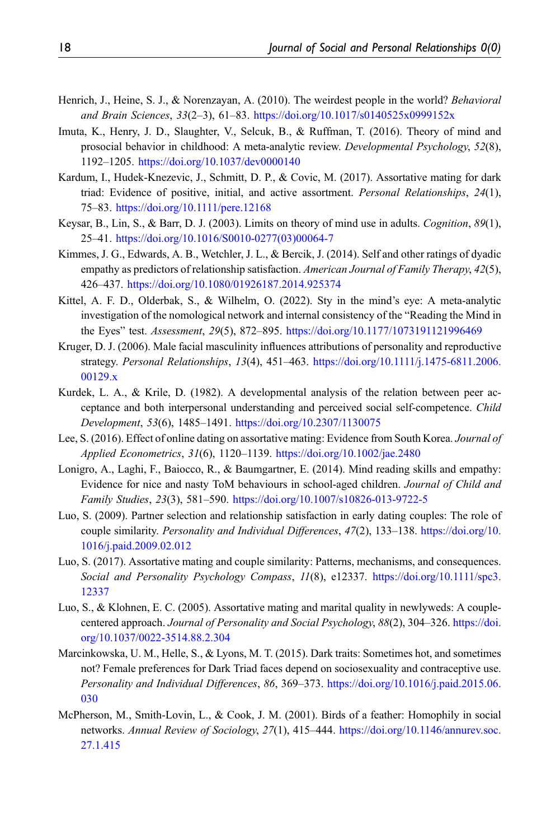- <span id="page-17-13"></span>Henrich, J., Heine, S. J., & Norenzayan, A. (2010). The weirdest people in the world? Behavioral and Brain Sciences, 33(2–3), 61–83. <https://doi.org/10.1017/s0140525x0999152x>
- <span id="page-17-10"></span>Imuta, K., Henry, J. D., Slaughter, V., Selcuk, B., & Ruffman, T. (2016). Theory of mind and prosocial behavior in childhood: A meta-analytic review. Developmental Psychology, 52(8), 1192–1205. <https://doi.org/10.1037/dev0000140>
- <span id="page-17-3"></span>Kardum, I., Hudek-Knezevic, J., Schmitt, D. P., & Covic, M. (2017). Assortative mating for dark triad: Evidence of positive, initial, and active assortment. Personal Relationships, 24(1), 75–83. <https://doi.org/10.1111/pere.12168>
- <span id="page-17-11"></span>Keysar, B., Lin, S., & Barr, D. J. (2003). Limits on theory of mind use in adults. Cognition, 89(1), 25–41. [https://doi.org/10.1016/S0010-0277\(03\)00064-7](https://doi.org/10.1016/S0010-0277(03)00064-7)
- <span id="page-17-7"></span>Kimmes, J. G., Edwards, A. B., Wetchler, J. L., & Bercik, J. (2014). Self and other ratings of dyadic empathy as predictors of relationship satisfaction. American Journal of Family Therapy, 42(5), 426–437. <https://doi.org/10.1080/01926187.2014.925374>
- <span id="page-17-12"></span>Kittel, A. F. D., Olderbak, S., & Wilhelm, O. (2022). Sty in the mind's eye: A meta-analytic investigation of the nomological network and internal consistency of the "Reading the Mind in the Eyes" test. Assessment, 29(5), 872–895. <https://doi.org/10.1177/1073191121996469>
- <span id="page-17-8"></span>Kruger, D. J. (2006). Male facial masculinity influences attributions of personality and reproductive strategy. Personal Relationships, 13(4), 451–463. [https://doi.org/10.1111/j.1475-6811.2006.](https://doi.org/10.1111/j.1475-6811.2006.00129.x) [00129.x](https://doi.org/10.1111/j.1475-6811.2006.00129.x)
- <span id="page-17-5"></span>Kurdek, L. A., & Krile, D. (1982). A developmental analysis of the relation between peer acceptance and both interpersonal understanding and perceived social self-competence. Child Development, 53(6), 1485–1491. <https://doi.org/10.2307/1130075>
- <span id="page-17-14"></span>Lee, S. (2016). Effect of online dating on assortative mating: Evidence from South Korea. Journal of Applied Econometrics, 31(6), 1120–1139. <https://doi.org/10.1002/jae.2480>
- <span id="page-17-6"></span>Lonigro, A., Laghi, F., Baiocco, R., & Baumgartner, E. (2014). Mind reading skills and empathy: Evidence for nice and nasty ToM behaviours in school-aged children. Journal of Child and Family Studies, 23(3), 581–590. <https://doi.org/10.1007/s10826-013-9722-5>
- <span id="page-17-4"></span>Luo, S. (2009). Partner selection and relationship satisfaction in early dating couples: The role of couple similarity. Personality and Individual Differences, 47(2), 133–138. [https://doi.org/10.](https://doi.org/10.1016/j.paid.2009.02.012) [1016/j.paid.2009.02.012](https://doi.org/10.1016/j.paid.2009.02.012)
- <span id="page-17-0"></span>Luo, S. (2017). Assortative mating and couple similarity: Patterns, mechanisms, and consequences. Social and Personality Psychology Compass, 11(8), e12337. [https://doi.org/10.1111/spc3.](https://doi.org/10.1111/spc3.12337) [12337](https://doi.org/10.1111/spc3.12337)
- <span id="page-17-2"></span>Luo, S., & Klohnen, E. C. (2005). Assortative mating and marital quality in newlyweds: A couplecentered approach. Journal of Personality and Social Psychology, 88(2), 304–326. [https://doi.](https://doi.org/10.1037/0022-3514.88.2.304) [org/10.1037/0022-3514.88.2.304](https://doi.org/10.1037/0022-3514.88.2.304)
- <span id="page-17-9"></span>Marcinkowska, U. M., Helle, S., & Lyons, M. T. (2015). Dark traits: Sometimes hot, and sometimes not? Female preferences for Dark Triad faces depend on sociosexuality and contraceptive use. Personality and Individual Differences, 86, 369–373. [https://doi.org/10.1016/j.paid.2015.06.](https://doi.org/10.1016/j.paid.2015.06.030) [030](https://doi.org/10.1016/j.paid.2015.06.030)
- <span id="page-17-1"></span>McPherson, M., Smith-Lovin, L., & Cook, J. M. (2001). Birds of a feather: Homophily in social networks. Annual Review of Sociology, 27(1), 415–444. [https://doi.org/10.1146/annurev.soc.](https://doi.org/10.1146/annurev.soc.27.1.415) [27.1.415](https://doi.org/10.1146/annurev.soc.27.1.415)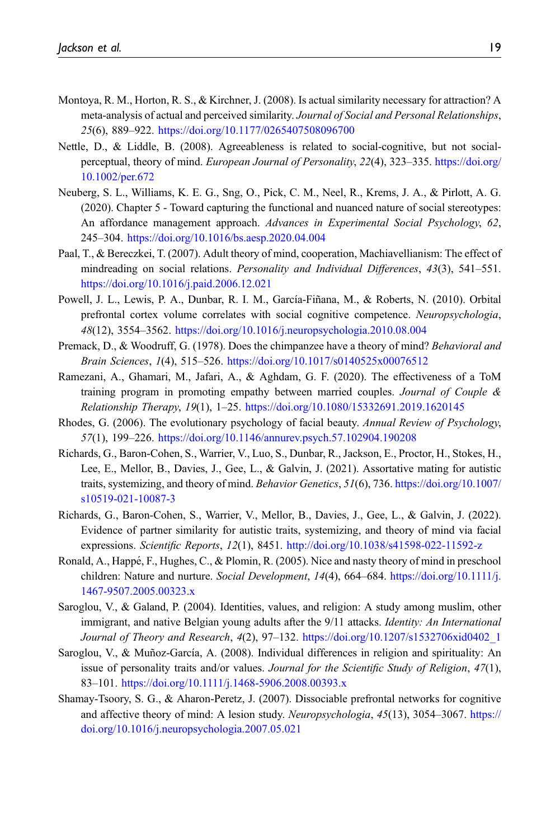- <span id="page-18-0"></span>Montoya, R. M., Horton, R. S., & Kirchner, J. (2008). Is actual similarity necessary for attraction? A meta-analysis of actual and perceived similarity. Journal of Social and Personal Relationships, 25(6), 889–922. <https://doi.org/10.1177/0265407508096700>
- <span id="page-18-4"></span>Nettle, D., & Liddle, B. (2008). Agreeableness is related to social-cognitive, but not socialperceptual, theory of mind. European Journal of Personality, 22(4), 323–335. [https://doi.org/](https://doi.org/10.1002/per.672) [10.1002/per.672](https://doi.org/10.1002/per.672)
- <span id="page-18-12"></span>Neuberg, S. L., Williams, K. E. G., Sng, O., Pick, C. M., Neel, R., Krems, J. A., & Pirlott, A. G. (2020). Chapter 5 - Toward capturing the functional and nuanced nature of social stereotypes: An affordance management approach. Advances in Experimental Social Psychology, 62, 245–304. <https://doi.org/10.1016/bs.aesp.2020.04.004>
- <span id="page-18-13"></span>Paal, T., & Bereczkei, T. (2007). Adult theory of mind, cooperation, Machiavellianism: The effect of mindreading on social relations. Personality and Individual Differences, 43(3), 541-551. <https://doi.org/10.1016/j.paid.2006.12.021>
- <span id="page-18-5"></span>Powell, J. L., Lewis, P. A., Dunbar, R. I. M., García-Fiñana, M., & Roberts, N. (2010). Orbital prefrontal cortex volume correlates with social cognitive competence. Neuropsychologia, 48(12), 3554–3562. <https://doi.org/10.1016/j.neuropsychologia.2010.08.004>
- <span id="page-18-2"></span>Premack, D., & Woodruff, G. (1978). Does the chimpanzee have a theory of mind? Behavioral and Brain Sciences, 1(4), 515–526. <https://doi.org/10.1017/s0140525x00076512>
- <span id="page-18-7"></span>Ramezani, A., Ghamari, M., Jafari, A., & Aghdam, G. F. (2020). The effectiveness of a ToM training program in promoting empathy between married couples. Journal of Couple  $\&$ Relationship Therapy, 19(1), 1–25. <https://doi.org/10.1080/15332691.2019.1620145>
- <span id="page-18-11"></span>Rhodes, G. (2006). The evolutionary psychology of facial beauty. Annual Review of Psychology, 57(1), 199–226. <https://doi.org/10.1146/annurev.psych.57.102904.190208>
- <span id="page-18-8"></span>Richards, G., Baron-Cohen, S., Warrier, V., Luo, S., Dunbar, R., Jackson, E., Proctor, H., Stokes, H., Lee, E., Mellor, B., Davies, J., Gee, L., & Galvin, J. (2021). Assortative mating for autistic traits, systemizing, and theory of mind. Behavior Genetics, 51(6), 736. [https://doi.org/10.1007/](https://doi.org/10.1007/s10519-021-10087-3) [s10519-021-10087-3](https://doi.org/10.1007/s10519-021-10087-3)
- <span id="page-18-1"></span>Richards, G., Baron-Cohen, S., Warrier, V., Mellor, B., Davies, J., Gee, L., & Galvin, J. (2022). Evidence of partner similarity for autistic traits, systemizing, and theory of mind via facial expressions. Scientific Reports, 12(1), 8451. <http://doi.org/10.1038/s41598-022-11592-z>
- <span id="page-18-6"></span>Ronald, A., Happé, F., Hughes, C., & Plomin, R. (2005). Nice and nasty theory of mind in preschool children: Nature and nurture. Social Development, 14(4), 664–684. [https://doi.org/10.1111/j.](https://doi.org/10.1111/j.1467-9507.2005.00323.x) [1467-9507.2005.00323.x](https://doi.org/10.1111/j.1467-9507.2005.00323.x)
- <span id="page-18-9"></span>Saroglou, V., & Galand, P. (2004). Identities, values, and religion: A study among muslim, other immigrant, and native Belgian young adults after the 9/11 attacks. *Identity: An International* Journal of Theory and Research, 4(2), 97–132. [https://doi.org/10.1207/s1532706xid0402\\_1](https://doi.org/10.1207/s1532706xid0402_1)
- <span id="page-18-10"></span>Saroglou, V., & Muñoz-García, A. (2008). Individual differences in religion and spirituality: An issue of personality traits and/or values. Journal for the Scientific Study of Religion, 47(1), 83–101. <https://doi.org/10.1111/j.1468-5906.2008.00393.x>
- <span id="page-18-3"></span>Shamay-Tsoory, S. G., & Aharon-Peretz, J. (2007). Dissociable prefrontal networks for cognitive and affective theory of mind: A lesion study. Neuropsychologia, 45(13), 3054–3067. [https://](https://doi.org/10.1016/j.neuropsychologia.2007.05.021) [doi.org/10.1016/j.neuropsychologia.2007.05.021](https://doi.org/10.1016/j.neuropsychologia.2007.05.021)